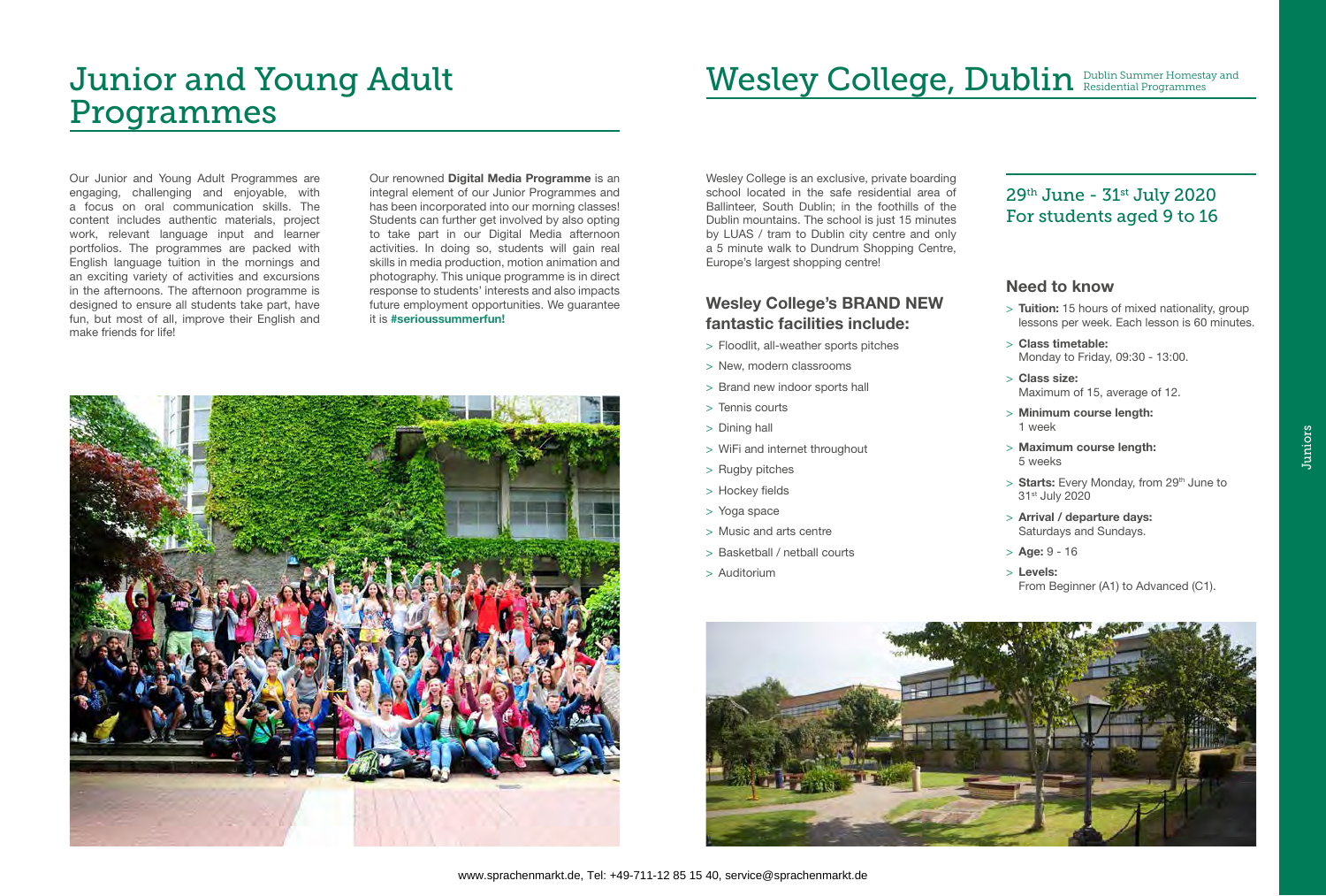# Junior and Young Adult Programmes

Our Junior and Young Adult Programmes are engaging, challenging and enjoyable, with a focus on oral communication skills. The content includes authentic materials, project work, relevant language input and learner portfolios. The programmes are packed with English language tuition in the mornings and an exciting variety of activities and excursions in the afternoons. The afternoon programme is designed to ensure all students take part, have fun, but most of all, improve their English and make friends for life!

Our renowned Digital Media Programme is an integral element of our Junior Programmes and has been incorporated into our morning classes! Students can further get involved by also opting to take part in our Digital Media afternoon activities. In doing so, students will gain real skills in media production, motion animation and photography. This unique programme is in direct response to students' interests and also impacts future employment opportunities. We guarantee it is #serioussummerfun!



# Wesley College, Dublin **Dublin Summer Homestay and**

> Starts: Every Monday, from 29<sup>th</sup> June to 31st July 2020

### Wesley College's BRAND NEW fantastic facilities include:

- > Floodlit, all-weather sports pitches
- > New, modern classrooms
- > Brand new indoor sports hall
- > Tennis courts
- > Dining hall
- > WiFi and internet throughout
- > Rugby pitches
- > Hockey fields
- > Yoga space
- > Music and arts centre
- > Basketball / netball courts
- > Auditorium

#### Need to know

> Tuition: 15 hours of mixed nationality, group lessons per week. Each lesson is 60 minutes.

> Class timetable: Monday to Friday, 09:30 - 13:00.

Maximum of 15, average of 12.

> Minimum course length:

> Maximum course length:

- 
- 
- > Class size:
- 1 week
- 5 weeks
- 
- 
- $>$  Age: 9 16
- > Levels:



> Arrival / departure days: Saturdays and Sundays.

From Beginner (A1) to Advanced (C1).

Wesley College is an exclusive, private boarding school located in the safe residential area of Ballinteer, South Dublin; in the foothills of the Dublin mountains. The school is just 15 minutes by LUAS / tram to Dublin city centre and only a 5 minute walk to Dundrum Shopping Centre, Europe's largest shopping centre!

### 29th June - 31st July 2020 For students aged 9 to 16